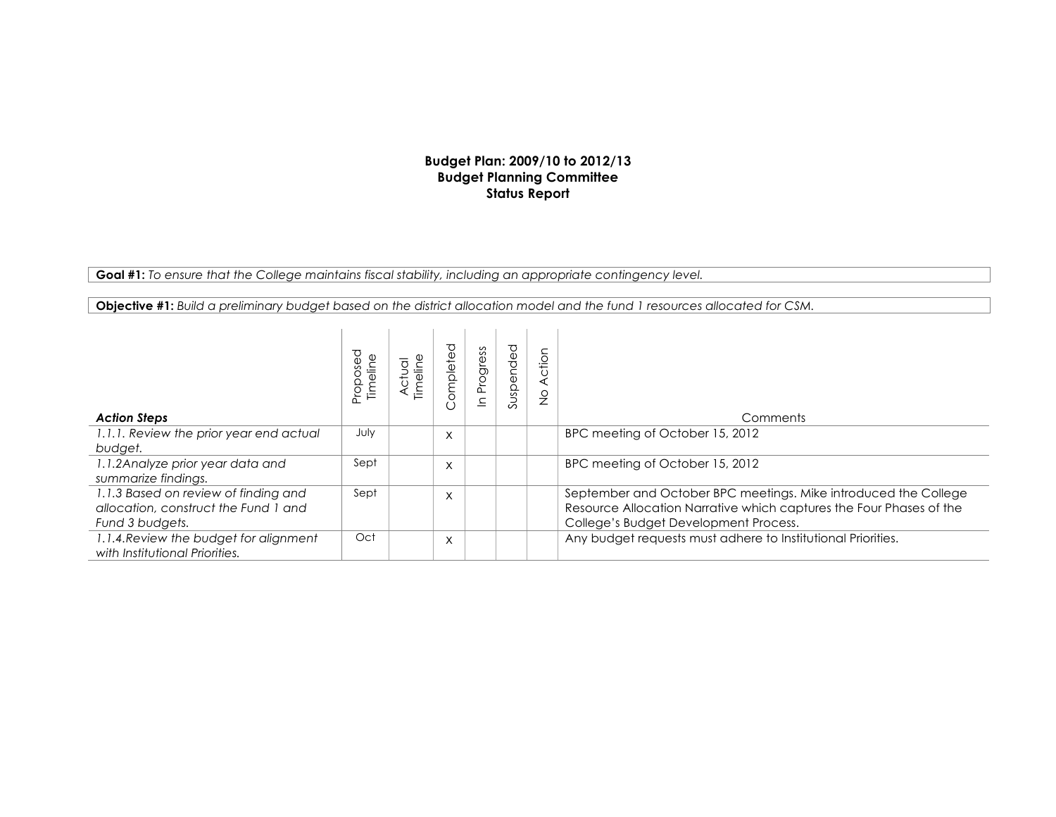## **Budget Plan: 2009/10 to 2012/13 Budget Planning Committee Status Report**

**Goal #1:** *To ensure that the College maintains fiscal stability, including an appropriate contingency level.*

**Objective #1:** *Build a preliminary budget based on the district allocation model and the fund 1 resources allocated for CSM.*

| <b>Action Steps</b>                                                                             | pesodoi <sub>c</sub> | ctual<br>Timelin | ℧<br>omplete | Progress | Suspended | Action<br>$\frac{\circ}{2}$ | Comments                                                                                                                                                                        |
|-------------------------------------------------------------------------------------------------|----------------------|------------------|--------------|----------|-----------|-----------------------------|---------------------------------------------------------------------------------------------------------------------------------------------------------------------------------|
| 1.1.1. Review the prior year end actual<br>budget.                                              | July                 |                  | X            |          |           |                             | BPC meeting of October 15, 2012                                                                                                                                                 |
| 1.1.2 Analyze prior year data and<br>summarize findings.                                        | Sept                 |                  | X            |          |           |                             | BPC meeting of October 15, 2012                                                                                                                                                 |
| 1.1.3 Based on review of finding and<br>allocation, construct the Fund 1 and<br>Fund 3 budgets. | Sept                 |                  | X            |          |           |                             | September and October BPC meetings. Mike introduced the College<br>Resource Allocation Narrative which captures the Four Phases of the<br>College's Budget Development Process. |
| 1.1.4. Review the budget for alignment<br>with Institutional Priorities.                        | Oct                  |                  | X            |          |           |                             | Any budget requests must adhere to Institutional Priorities.                                                                                                                    |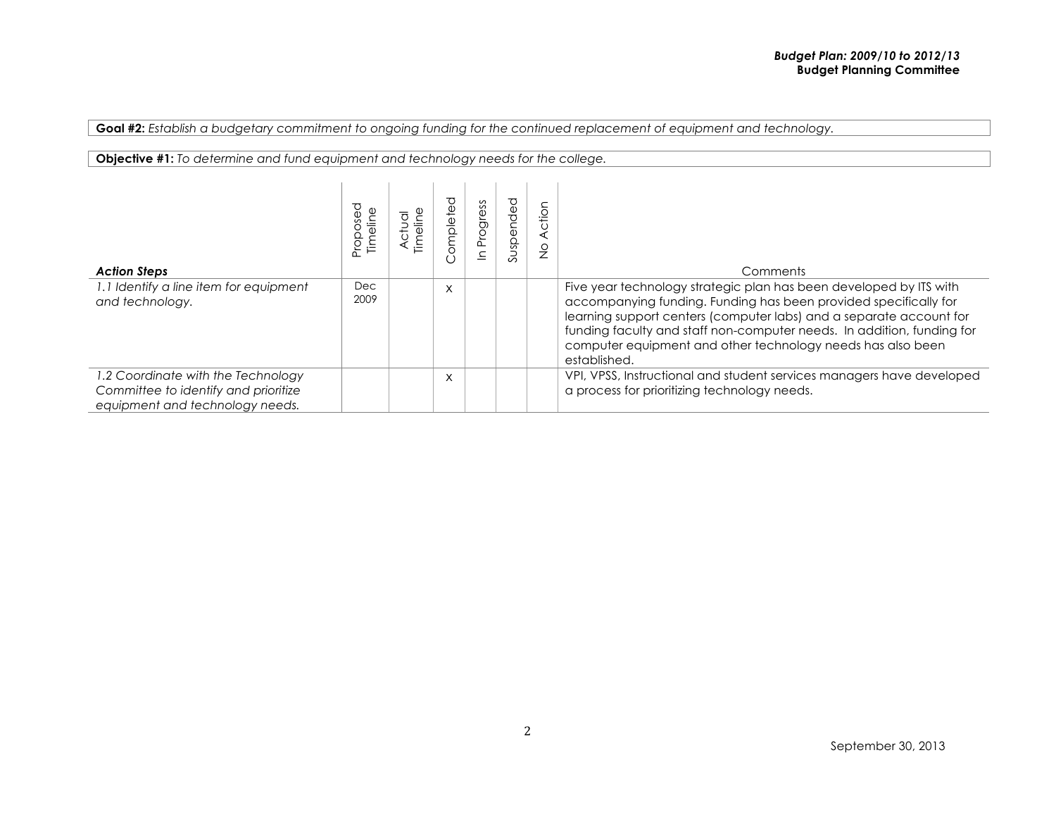**Goal #2:** *Establish a budgetary commitment to ongoing funding for the continued replacement of equipment and technology.*

| <b>Objective #1:</b> To determine and fund equipment and technology needs for the college.                    |             |  |          |          |           |                         |                                                                                                                                                                                                                                                                                                                                                                        |  |  |  |
|---------------------------------------------------------------------------------------------------------------|-------------|--|----------|----------|-----------|-------------------------|------------------------------------------------------------------------------------------------------------------------------------------------------------------------------------------------------------------------------------------------------------------------------------------------------------------------------------------------------------------------|--|--|--|
| <b>Action Steps</b>                                                                                           | Proposed    |  | ompleted | Progress | Suspended | Action<br>$\frac{0}{2}$ | Comments                                                                                                                                                                                                                                                                                                                                                               |  |  |  |
| 1.1 Identify a line item for equipment<br>and technology.                                                     | Dec<br>2009 |  | X        |          |           |                         | Five year technology strategic plan has been developed by ITS with<br>accompanying funding. Funding has been provided specifically for<br>learning support centers (computer labs) and a separate account for<br>funding faculty and staff non-computer needs. In addition, funding for<br>computer equipment and other technology needs has also been<br>established. |  |  |  |
| 1.2 Coordinate with the Technology<br>Committee to identify and prioritize<br>equipment and technology needs. |             |  | X        |          |           |                         | VPI, VPSS, Instructional and student services managers have developed<br>a process for prioritizing technology needs.                                                                                                                                                                                                                                                  |  |  |  |

## September 30, 2013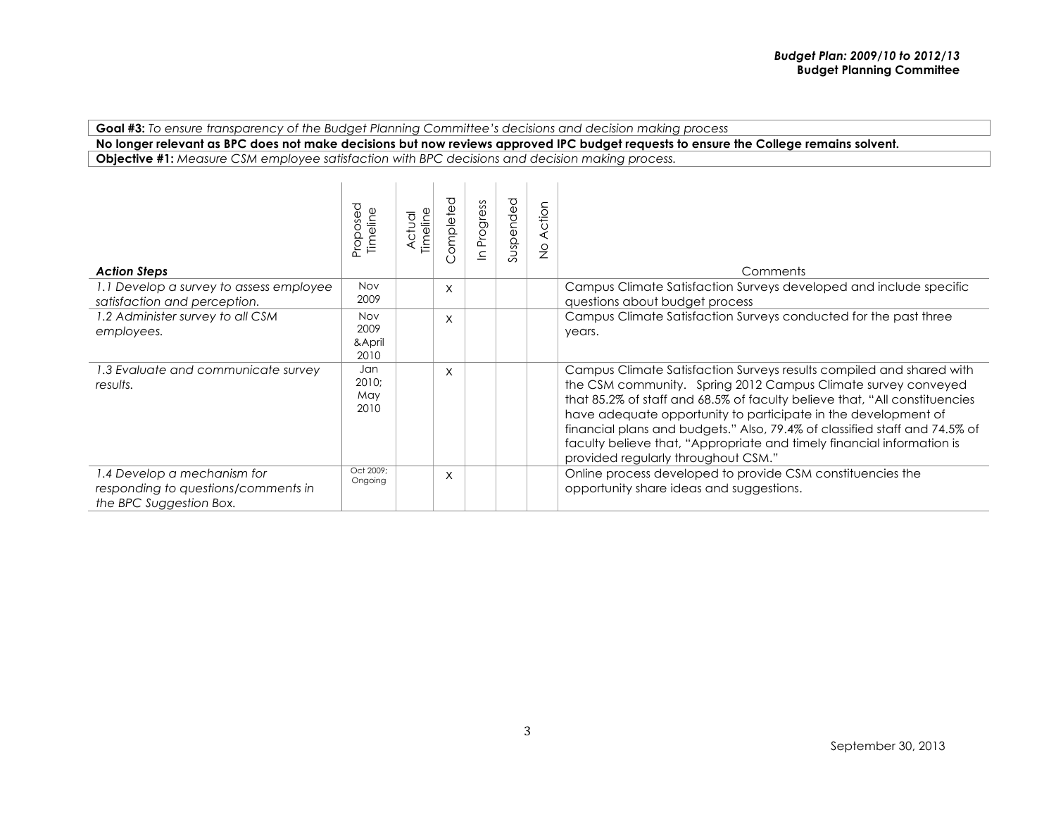**Goal #3:** *To ensure transparency of the Budget Planning Committee's decisions and decision making process*

**No longer relevant as BPC does not make decisions but now reviews approved IPC budget requests to ensure the College remains solvent.**

**Objective #1:** *Measure CSM employee satisfaction with BPC decisions and decision making process.*

| <b>Action Steps</b>                                                                           | Proposed<br>Timeline                 | Timeline<br>ठ<br>⊂<br>ح | ompleted<br>$\left( \right)$ | Progress<br>$\subset$ | Suspended | ction<br>⋖<br>$\frac{0}{2}$ | Comments                                                                                                                                                                                                                                                                                                                                                                                                                                                                             |
|-----------------------------------------------------------------------------------------------|--------------------------------------|-------------------------|------------------------------|-----------------------|-----------|-----------------------------|--------------------------------------------------------------------------------------------------------------------------------------------------------------------------------------------------------------------------------------------------------------------------------------------------------------------------------------------------------------------------------------------------------------------------------------------------------------------------------------|
| 1.1 Develop a survey to assess employee<br>satisfaction and perception.                       | <b>Nov</b><br>2009                   |                         | X                            |                       |           |                             | Campus Climate Satisfaction Surveys developed and include specific<br>questions about budget process                                                                                                                                                                                                                                                                                                                                                                                 |
| 1.2 Administer survey to all CSM<br>employees.                                                | <b>Nov</b><br>2009<br>&April<br>2010 |                         | X                            |                       |           |                             | Campus Climate Satisfaction Surveys conducted for the past three<br>years.                                                                                                                                                                                                                                                                                                                                                                                                           |
| 1.3 Evaluate and communicate survey<br>results.                                               | Jan<br>2010;<br>May<br>2010          |                         | X                            |                       |           |                             | Campus Climate Satisfaction Surveys results compiled and shared with<br>the CSM community. Spring 2012 Campus Climate survey conveyed<br>that 85.2% of staff and 68.5% of faculty believe that, "All constituencies<br>have adequate opportunity to participate in the development of<br>financial plans and budgets." Also, 79.4% of classified staff and 74.5% of<br>faculty believe that, "Appropriate and timely financial information is<br>provided regularly throughout CSM." |
| 1.4 Develop a mechanism for<br>responding to questions/comments in<br>the BPC Suggestion Box. | Oct 2009;<br>Ongoing                 |                         | X                            |                       |           |                             | Online process developed to provide CSM constituencies the<br>opportunity share ideas and suggestions.                                                                                                                                                                                                                                                                                                                                                                               |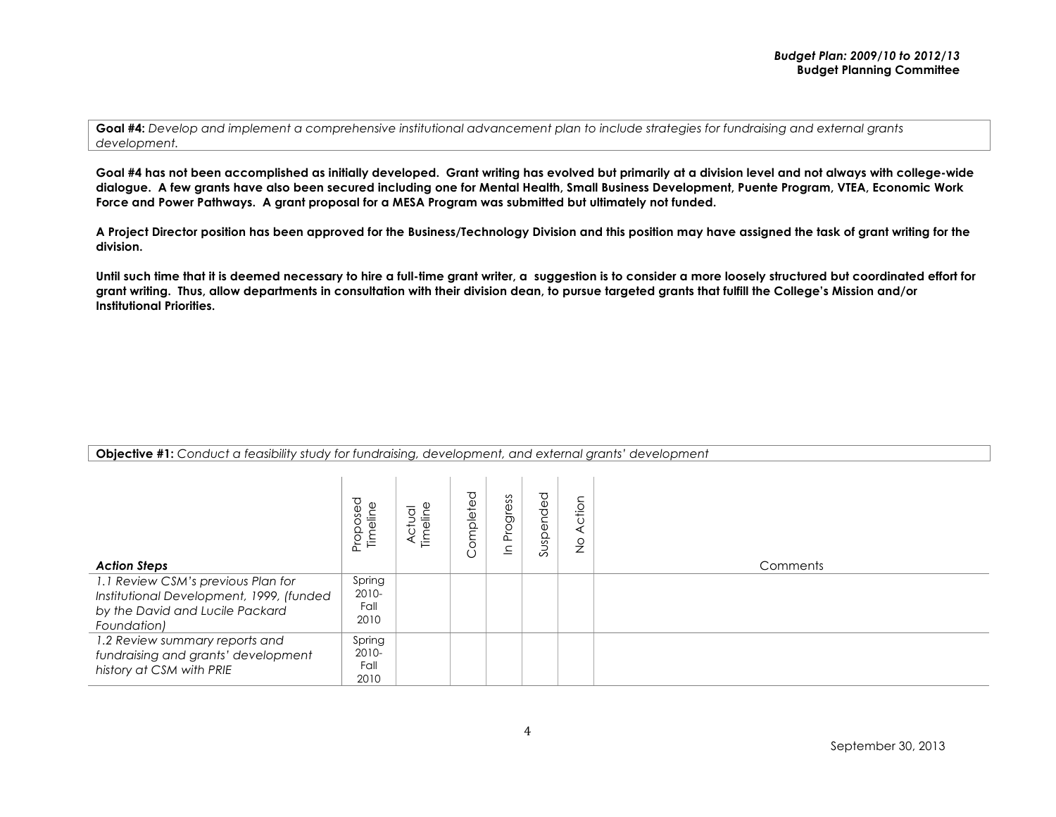**Goal #4 has not been accomplished as initially developed. Grant writing has evolved but primarily at a division level and not always with college-wide dialogue. A few grants have also been secured including one for Mental Health, Small Business Development, Puente Program, VTEA, Economic Work Force and Power Pathways. A grant proposal for a MESA Program was submitted but ultimately not funded.** 

**A Project Director position has been approved for the Business/Technology Division and this position may have assigned the task of grant writing for the division.**

Until such time that it is deemed necessary to hire a full-time grant writer, a suggestion is to consider a more loosely structured but coordinated effort for **grant writing. Thus, allow departments in consultation with their division dean, to pursue targeted grants that fulfill the College's Mission and/or Institutional Priorities.**

| <b>Action Steps</b>                                                                                                              | Proposed<br>Timeline            | $\overline{\sigma}$<br>ilie<br>듣 | ompleted<br>Ċ | Progress<br>$\subseteq$ | Suspended | ction<br>$\frac{0}{2}$ | Comments |
|----------------------------------------------------------------------------------------------------------------------------------|---------------------------------|----------------------------------|---------------|-------------------------|-----------|------------------------|----------|
| 1.1 Review CSM's previous Plan for<br>Institutional Development, 1999, (funded<br>by the David and Lucile Packard<br>Foundation) | Spring<br>2010-<br>Fall<br>2010 |                                  |               |                         |           |                        |          |
| 1.2 Review summary reports and<br>fundraising and grants' development<br>history at CSM with PRIE                                | Spring<br>2010-<br>Fall<br>2010 |                                  |               |                         |           |                        |          |

**Objective #1:** *Conduct a feasibility study for fundraising, development, and external grants' development*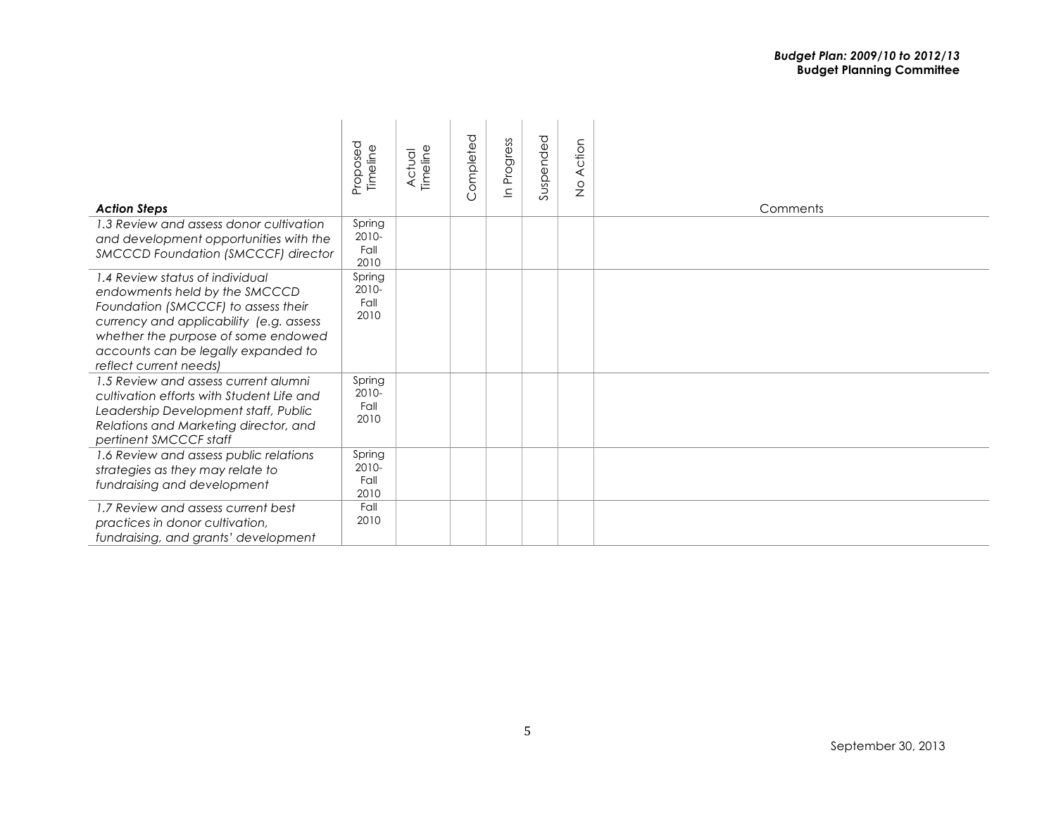| <b>Action Steps</b>                                                                                                                                                                                                                                        | Proposed<br>Timeline            | Actual<br>Timeline | Completed | Progress<br>$\subseteq$ | Suspended | Action<br>$\frac{1}{2}$ | Comments |
|------------------------------------------------------------------------------------------------------------------------------------------------------------------------------------------------------------------------------------------------------------|---------------------------------|--------------------|-----------|-------------------------|-----------|-------------------------|----------|
| 1.3 Review and assess donor cultivation<br>and development opportunities with the<br>SMCCCD Foundation (SMCCCF) director                                                                                                                                   | Spring<br>2010-<br>Fall<br>2010 |                    |           |                         |           |                         |          |
| 1.4 Review status of individual<br>endowments held by the SMCCCD<br>Foundation (SMCCCF) to assess their<br>currency and applicability (e.g. assess<br>whether the purpose of some endowed<br>accounts can be legally expanded to<br>reflect current needs) | Spring<br>2010-<br>Fall<br>2010 |                    |           |                         |           |                         |          |
| 1.5 Review and assess current alumni<br>cultivation efforts with Student Life and<br>Leadership Development staff, Public<br>Relations and Marketing director, and<br>pertinent SMCCCF staff                                                               | Spring<br>2010-<br>Fall<br>2010 |                    |           |                         |           |                         |          |
| 1.6 Review and assess public relations<br>strategies as they may relate to<br>fundraising and development                                                                                                                                                  | Spring<br>2010-<br>Fall<br>2010 |                    |           |                         |           |                         |          |
| 1.7 Review and assess current best<br>practices in donor cultivation,<br>fundraising, and grants' development                                                                                                                                              | Fall<br>2010                    |                    |           |                         |           |                         |          |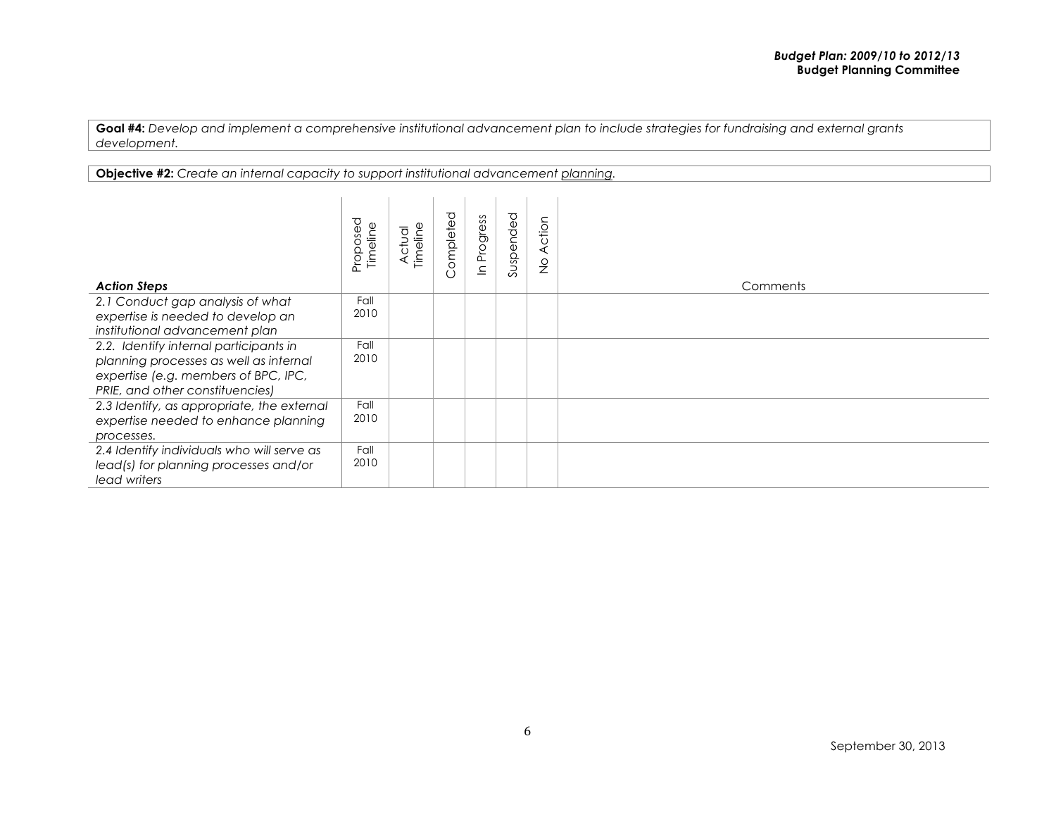**Objective #2:** *Create an internal capacity to support institutional advancement planning.*

| <b>Action Steps</b>                                                                                                                                         | Proposed<br>Timeline | Timeline<br>Actual | ompleted<br>$\cup$ | Progress<br>드 | Suspended | Action<br>$\frac{0}{2}$ | Comments |
|-------------------------------------------------------------------------------------------------------------------------------------------------------------|----------------------|--------------------|--------------------|---------------|-----------|-------------------------|----------|
| 2.1 Conduct gap analysis of what<br>expertise is needed to develop an<br>institutional advancement plan                                                     | Fall<br>2010         |                    |                    |               |           |                         |          |
| 2.2. Identify internal participants in<br>planning processes as well as internal<br>expertise (e.g. members of BPC, IPC,<br>PRIE, and other constituencies) | Fall<br>2010         |                    |                    |               |           |                         |          |
| 2.3 Identify, as appropriate, the external<br>expertise needed to enhance planning<br>processes.                                                            | Fall<br>2010         |                    |                    |               |           |                         |          |
| 2.4 Identify individuals who will serve as<br>lead(s) for planning processes and/or<br>lead writers                                                         | Fall<br>2010         |                    |                    |               |           |                         |          |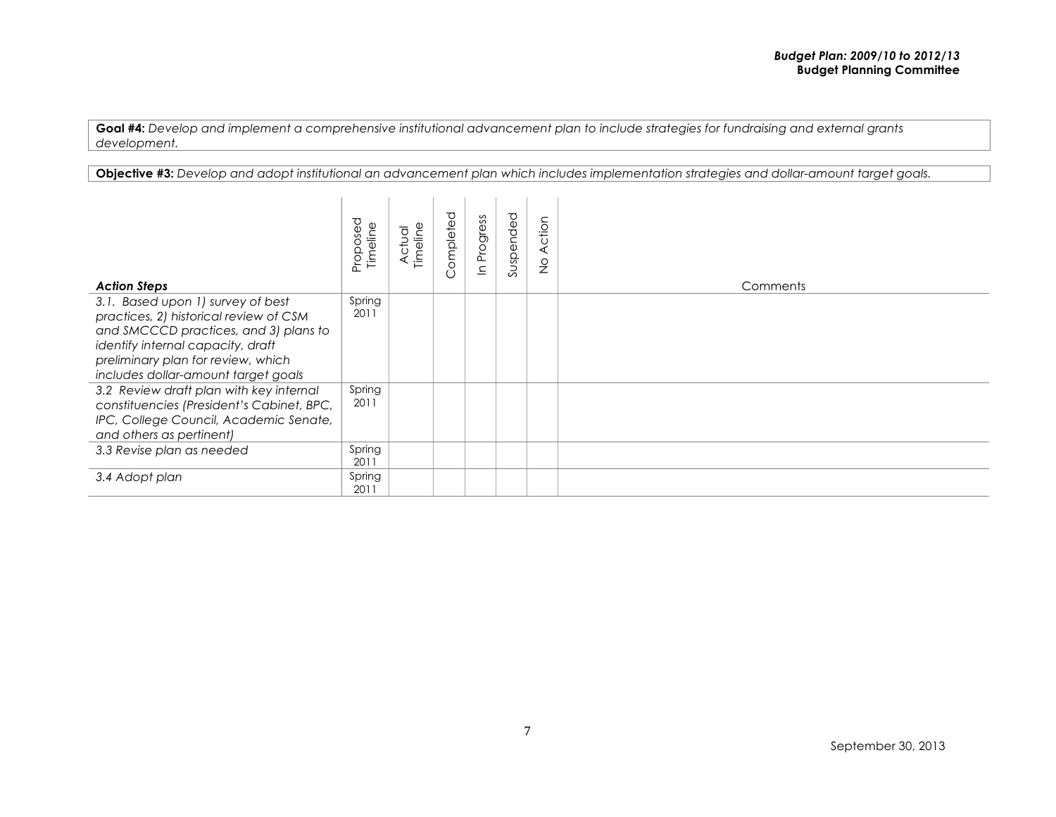**Objective #3:** *Develop and adopt institutional an advancement plan which includes implementation strategies and dollar-amount target goals.*

| <b>Action Steps</b>                                                                                                                                                                                                                    | Proposed<br>Timeline | Actual<br>Timeline | ompleted<br>$\cup$ | Progress<br>으 | Suspended | Action<br>$\frac{0}{2}$ | Comments |
|----------------------------------------------------------------------------------------------------------------------------------------------------------------------------------------------------------------------------------------|----------------------|--------------------|--------------------|---------------|-----------|-------------------------|----------|
| 3.1. Based upon 1) survey of best<br>practices, 2) historical review of CSM<br>and SMCCCD practices, and 3) plans to<br>identify internal capacity, draft<br>preliminary plan for review, which<br>includes dollar-amount target goals | Spring<br>2011       |                    |                    |               |           |                         |          |
| 3.2 Review draft plan with key internal<br>constituencies (President's Cabinet, BPC,<br>IPC, College Council, Academic Senate,<br>and others as pertinent)                                                                             | Spring<br>2011       |                    |                    |               |           |                         |          |
| 3.3 Revise plan as needed                                                                                                                                                                                                              | Spring<br>2011       |                    |                    |               |           |                         |          |
| 3.4 Adopt plan                                                                                                                                                                                                                         | Spring<br>2011       |                    |                    |               |           |                         |          |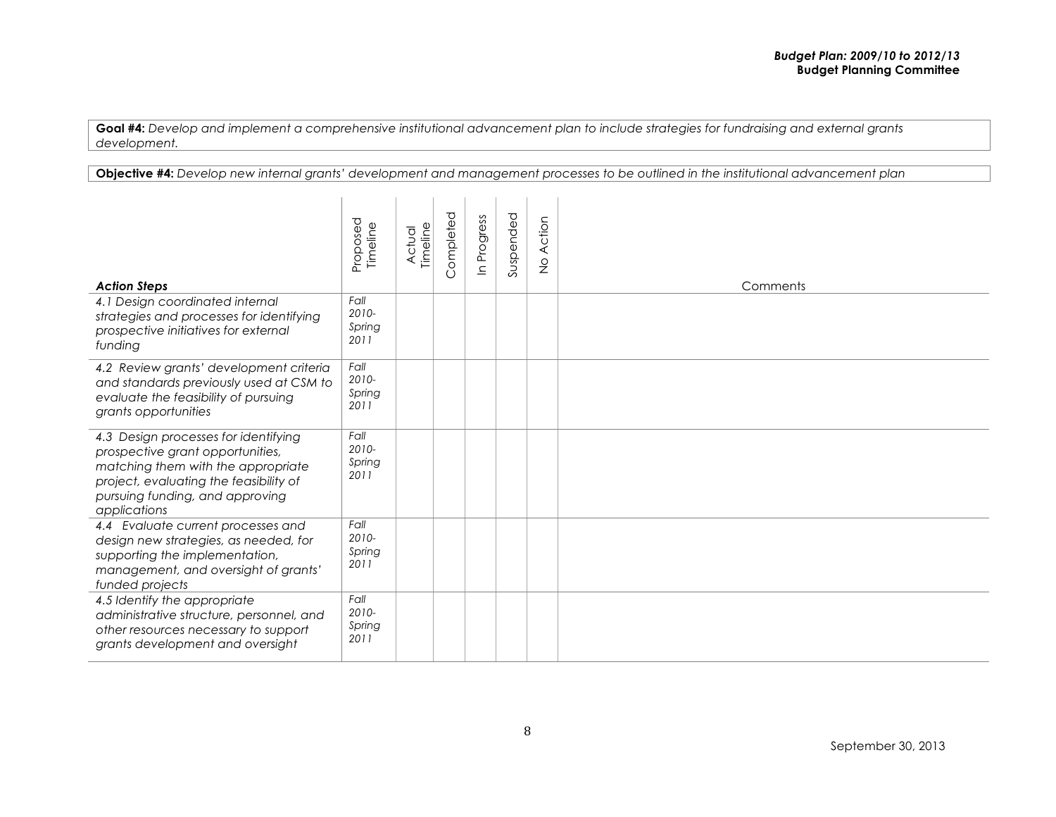**Objective #4:** *Develop new internal grants' development and management processes to be outlined in the institutional advancement plan*

| <b>Action Steps</b>                                                                                                                                                                                         | Proposed<br>Timeline            | Timeline<br>Actual | Completed | Progress<br>$\overline{=}$ | Suspended | Action<br>$\frac{0}{2}$ | Comments |
|-------------------------------------------------------------------------------------------------------------------------------------------------------------------------------------------------------------|---------------------------------|--------------------|-----------|----------------------------|-----------|-------------------------|----------|
| 4.1 Design coordinated internal<br>strategies and processes for identifying<br>prospective initiatives for external<br>funding                                                                              | Fall<br>2010-<br>Spring<br>2011 |                    |           |                            |           |                         |          |
| 4.2 Review grants' development criteria<br>and standards previously used at CSM to<br>evaluate the feasibility of pursuing<br>grants opportunities                                                          | Fall<br>2010-<br>Spring<br>2011 |                    |           |                            |           |                         |          |
| 4.3 Design processes for identifying<br>prospective grant opportunities,<br>matching them with the appropriate<br>project, evaluating the feasibility of<br>pursuing funding, and approving<br>applications | Fall<br>2010-<br>Spring<br>2011 |                    |           |                            |           |                         |          |
| 4.4 Evaluate current processes and<br>design new strategies, as needed, for<br>supporting the implementation,<br>management, and oversight of grants'<br>funded projects                                    | Fall<br>2010-<br>Spring<br>2011 |                    |           |                            |           |                         |          |
| 4.5 Identify the appropriate<br>administrative structure, personnel, and<br>other resources necessary to support<br>grants development and oversight                                                        | Fall<br>2010-<br>Spring<br>2011 |                    |           |                            |           |                         |          |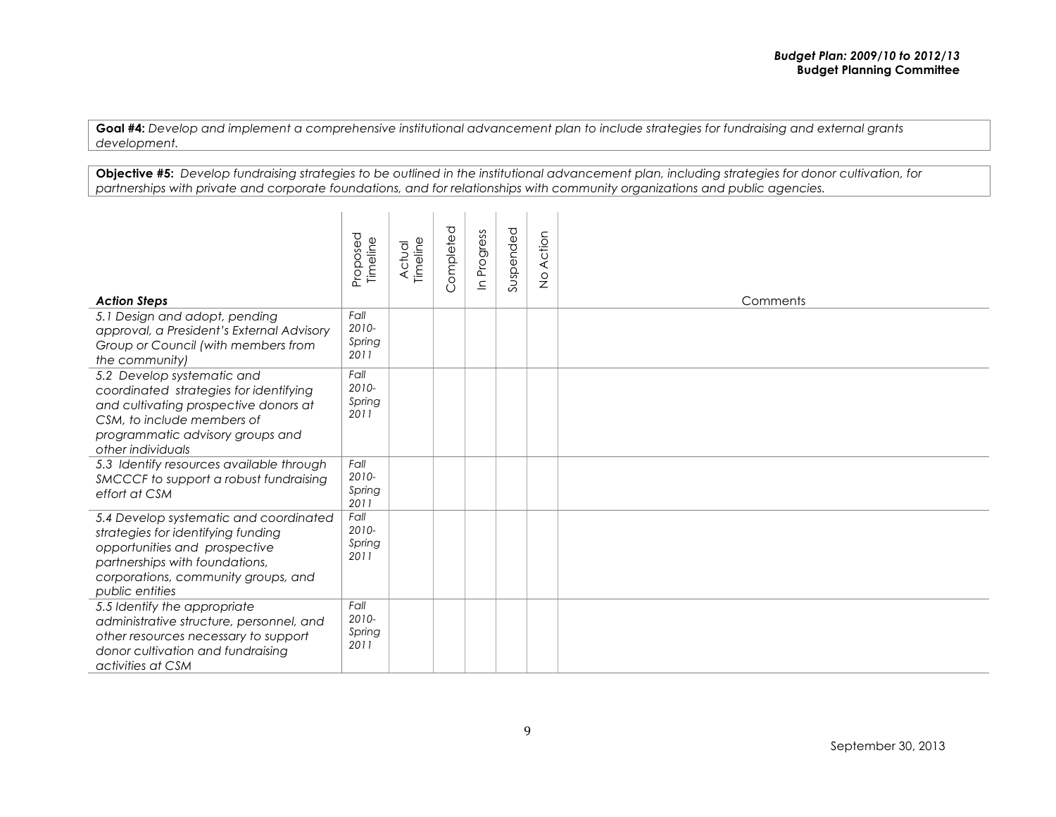**Objective #5:** *Develop fundraising strategies to be outlined in the institutional advancement plan, including strategies for donor cultivation, for partnerships with private and corporate foundations, and for relationships with community organizations and public agencies.*

| <b>Action Steps</b>                                                                                                                                                                                       | Proposed<br>Timeline            | Actual<br>Timeline | Completed | Progress<br>$\mathbf{u}$ | Suspended | Action<br>$\frac{0}{2}$ | Comments |
|-----------------------------------------------------------------------------------------------------------------------------------------------------------------------------------------------------------|---------------------------------|--------------------|-----------|--------------------------|-----------|-------------------------|----------|
| 5.1 Design and adopt, pending<br>approval, a President's External Advisory<br>Group or Council (with members from<br>the community)                                                                       | Fall<br>2010-<br>Spring<br>2011 |                    |           |                          |           |                         |          |
| 5.2 Develop systematic and<br>coordinated strategies for identifying<br>and cultivating prospective donors at<br>CSM, to include members of<br>programmatic advisory groups and<br>other individuals      | Fall<br>2010-<br>Spring<br>2011 |                    |           |                          |           |                         |          |
| 5.3 Identify resources available through<br>SMCCCF to support a robust fundraising<br>effort at CSM                                                                                                       | Fall<br>2010-<br>Spring<br>2011 |                    |           |                          |           |                         |          |
| 5.4 Develop systematic and coordinated<br>strategies for identifying funding<br>opportunities and prospective<br>partnerships with foundations,<br>corporations, community groups, and<br>public entities | Fall<br>2010-<br>Spring<br>2011 |                    |           |                          |           |                         |          |
| 5.5 Identify the appropriate<br>administrative structure, personnel, and<br>other resources necessary to support<br>donor cultivation and fundraising<br>activities at CSM                                | Fall<br>2010-<br>Spring<br>2011 |                    |           |                          |           |                         |          |